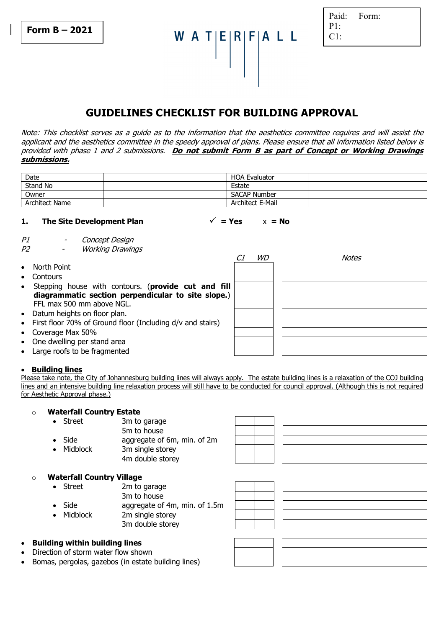A T|E|R|F|A L L

| Paid: | Form: |
|-------|-------|
| P1:   |       |
| C1:   |       |

# **GUIDELINES CHECKLIST FOR BUILDING APPROVAL**

Note: This checklist serves as a guide as to the information that the aesthetics committee requires and will assist the applicant and the aesthetics committee in the speedy approval of plans. Please ensure that all information listed below is provided with phase 1 and 2 submissions. **Do not submit Form B as part of Concept or Working Drawings submissions.** 

| Date           | <b>HOA Evaluator</b> |  |
|----------------|----------------------|--|
| Stand No       | Estate               |  |
| Owner          | <b>SACAP Number</b>  |  |
| Architect Name | Architect E-Mail     |  |

## **1.** The Site Development Plan  $\checkmark$  = Yes  $x = No$

P1 - Concept Design

P2 - Working Drawings

|           |                                                              | <b>WD</b> | Notes |
|-----------|--------------------------------------------------------------|-----------|-------|
| $\bullet$ | North Point                                                  |           |       |
| $\bullet$ | Contours                                                     |           |       |
| $\bullet$ | Stepping house with contours. (provide cut and fill          |           |       |
|           | diagrammatic section perpendicular to site slope.)           |           |       |
|           | FFL max 500 mm above NGL.                                    |           |       |
|           | • Datum heights on floor plan.                               |           |       |
|           | • First floor 70% of Ground floor (Including d/v and stairs) |           |       |
|           | • Coverage Max 50%                                           |           |       |
|           | • One dwelling per stand area                                |           |       |
|           | • Large roofs to be fragmented                               |           |       |

#### • **Building lines**

Please take note, the City of Johannesburg building lines will always apply. The estate building lines is a relaxation of the COJ building lines and an intensive building line relaxation process will still have to be conducted for council approval. (Although this is not required for Aesthetic Approval phase.)

## o **Waterfall Country Estate**

- Street 3m to garage
	- 5m to house
- Side aggregate of 6m, min. of 2m Midblock 3m single storey

| 4m double storey |  |
|------------------|--|

## o **Waterfall Country Village**

| Street          | 2m to garage                  |  |
|-----------------|-------------------------------|--|
|                 | 3m to house                   |  |
| Side            | aggregate of 4m, min. of 1.5m |  |
| <b>Midblock</b> | 2m single storey              |  |
|                 | 3m double storey              |  |
|                 |                               |  |

## • **Building within building lines**

- Direction of storm water flow shown
- Bomas, pergolas, gazebos (in estate building lines)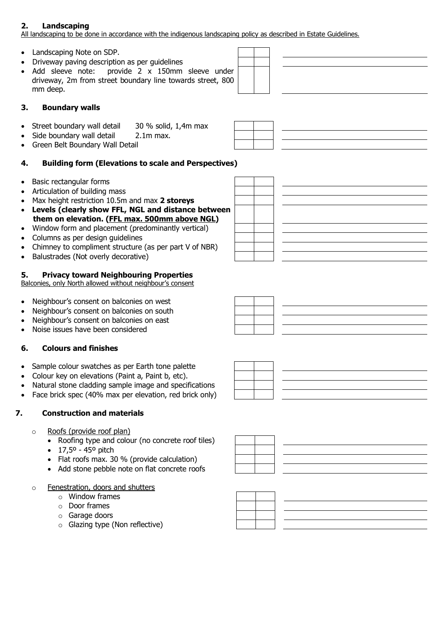# **2. Landscaping**

All landscaping to be done in accordance with the indigenous landscaping policy as described in Estate Guidelines.

- Landscaping Note on SDP.
- Driveway paving description as per guidelines
- Add sleeve note: provide 2 x 150mm sleeve under driveway, 2m from street boundary line towards street, 800 mm deep.

# **3. Boundary walls**

- Street boundary wall detail 30 % solid, 1,4m max
- Side boundary wall detail 2.1m max.
- Green Belt Boundary Wall Detail

# **4. Building form (Elevations to scale and Perspectives)**

- Basic rectangular forms
- Articulation of building mass
- Max height restriction 10.5m and max **2 storeys**
- **Levels (clearly show FFL, NGL and distance between them on elevation. (FFL max. 500mm above NGL)**
- Window form and placement (predominantly vertical)
- Columns as per design guidelines
- Chimney to compliment structure (as per part V of NBR)
- Balustrades (Not overly decorative)

# **5. Privacy toward Neighbouring Properties**

Balconies, only North allowed without neighbour's consent

- Neighbour's consent on balconies on west
- Neighbour's consent on balconies on south
- Neighbour's consent on balconies on east
- Noise issues have been considered

## **6. Colours and finishes**

- Sample colour swatches as per Earth tone palette
- Colour key on elevations (Paint a, Paint b, etc).
- Natural stone cladding sample image and specifications
- Face brick spec (40% max per elevation, red brick only)

# **7. Construction and materials**

- o Roofs (provide roof plan)
	- Roofing type and colour (no concrete roof tiles)
	- $17,5^{\circ} 45^{\circ}$  pitch
	- Flat roofs max. 30 % (provide calculation)
	- Add stone pebble note on flat concrete roofs
- o Fenestration, doors and shutters
	- $\circ$  Window frames
	- o Door frames
	- o Garage doors
	- o Glazing type (Non reflective)













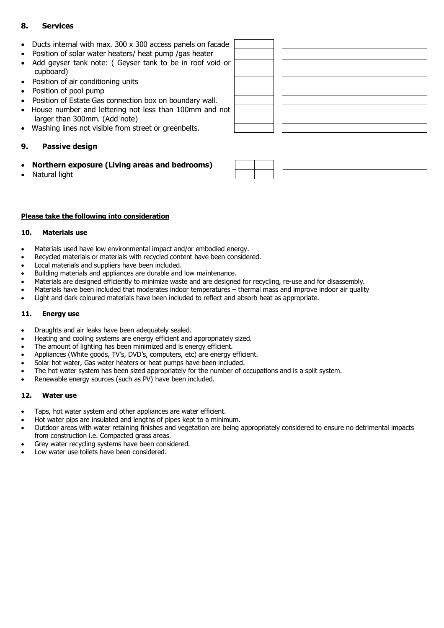# **8. Services**

- Ducts internal with max. 300 x 300 access panels on facade
- Position of solar water heaters/ heat pump /gas heater
- Add geyser tank note: ( Geyser tank to be in roof void or cupboard)
- Position of air conditioning units
- Position of pool pump
- Position of Estate Gas connection box on boundary wall.
- House number and lettering not less than 100mm and not larger than 300mm. (Add note)
- Washing lines not visible from street or greenbelts.

## **9. Passive design**

- **Northern exposure (Living areas and bedrooms)**
- Natural light

## **Please take the following into consideration**

#### **10. Materials use**

- Materials used have low environmental impact and/or embodied energy.
- Recycled materials or materials with recycled content have been considered.
- Local materials and suppliers have been included.
- Building materials and appliances are durable and low maintenance.
- Materials are designed efficiently to minimize waste and are designed for recycling, re-use and for disassembly.
- Materials have been included that moderates indoor temperatures thermal mass and improve indoor air quality
- Light and dark coloured materials have been included to reflect and absorb heat as appropriate.

## **11. Energy use**

- Draughts and air leaks have been adequately sealed.
- Heating and cooling systems are energy efficient and appropriately sized.
- The amount of lighting has been minimized and is energy efficient.
- Appliances (White goods, TV's, DVD's, computers, etc) are energy efficient.
- Solar hot water, Gas water heaters or heat pumps have been included.
- The hot water system has been sized appropriately for the number of occupations and is a split system.
- Renewable energy sources (such as PV) have been included.

## **12. Water use**

- Taps, hot water system and other appliances are water efficient.
- Hot water pips are insulated and lengths of pipes kept to a minimum.
- Outdoor areas with water retaining finishes and vegetation are being appropriately considered to ensure no detrimental impacts from construction i.e. Compacted grass areas.
- Grey water recycling systems have been considered.
- Low water use toilets have been considered.